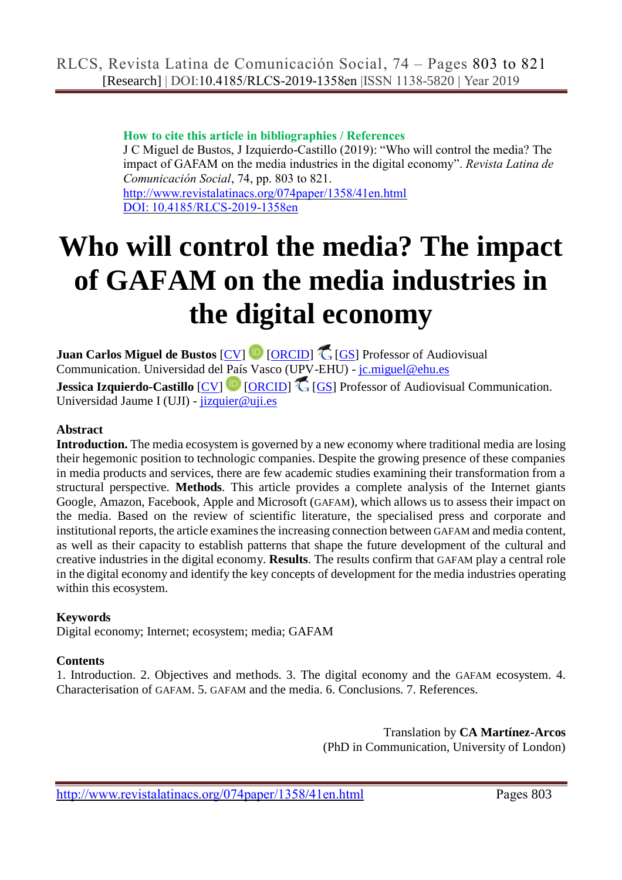#### **How to cite this article in bibliographies / References**

J C Miguel de Bustos, J Izquierdo-Castillo (2019): "Who will control the media? The impact of GAFAM on the media industries in the digital economy". *Revista Latina de Comunicación Social*, 74, pp. 803 to 821. <http://www.revistalatinacs.org/074paper/1358/41en.html>

[DOI: 10.4185/RLCS-2019-1358en](http://dx.doi.org/10.4185/RLCS-2019-1358en)

# **Who will control the media? The impact of GAFAM on the media industries in the digital economy**

Juan Carlos Miguel de Bustos [\[CV\]](file:///C:/Users/José%20Manuel/Desktop/aa-Latina_2019/articulos-ya--%20%20P%20%20U%20%20B%20%20L%20%20I%20%20C%20%20A%20%20D%20%20O%20%20S-PUBLICADOS/40-1358%20-%20Juan%20Carlos%20Miguel%20de%20Bustos/1358-12/cv1en.html) <sup>[D</sup> [\[ORCID\]](http://orcid.org/0000-0001-9507-7219) C [\[GS\]](https://scholar.google.es/citations?user=CbVle68AAAAJ&hl=es&oi=ao) Professor of Audiovisual Communication. Universidad del País Vasco (UPV-EHU) - [jc.miguel@ehu.es](mailto:jc.miguel@ehu.es) **Jessica Izquierdo-Castillo**  $[CV]$  [\[ORCID\]](http://orcid.org/0000-0002-5037-1040)  $[GS]$  Professor of Audiovisual Communication. Universidad Jaume I (UJI) - [jizquier@uji.es](mailto:jizquier@uji.es)

#### **Abstract**

**Introduction.** The media ecosystem is governed by a new economy where traditional media are losing their hegemonic position to technologic companies. Despite the growing presence of these companies in media products and services, there are few academic studies examining their transformation from a structural perspective. **Methods**. This article provides a complete analysis of the Internet giants Google, Amazon, Facebook, Apple and Microsoft (GAFAM), which allows us to assess their impact on the media. Based on the review of scientific literature, the specialised press and corporate and institutional reports, the article examines the increasing connection between GAFAM and media content, as well as their capacity to establish patterns that shape the future development of the cultural and creative industries in the digital economy. **Results**. The results confirm that GAFAM play a central role in the digital economy and identify the key concepts of development for the media industries operating within this ecosystem.

#### **Keywords**

Digital economy; Internet; ecosystem; media; GAFAM

#### **Contents**

1. Introduction. 2. Objectives and methods. 3. The digital economy and the GAFAM ecosystem. 4. Characterisation of GAFAM. 5. GAFAM and the media. 6. Conclusions. 7. References.

> Translation by **CA Martínez-Arcos** (PhD in Communication, University of London)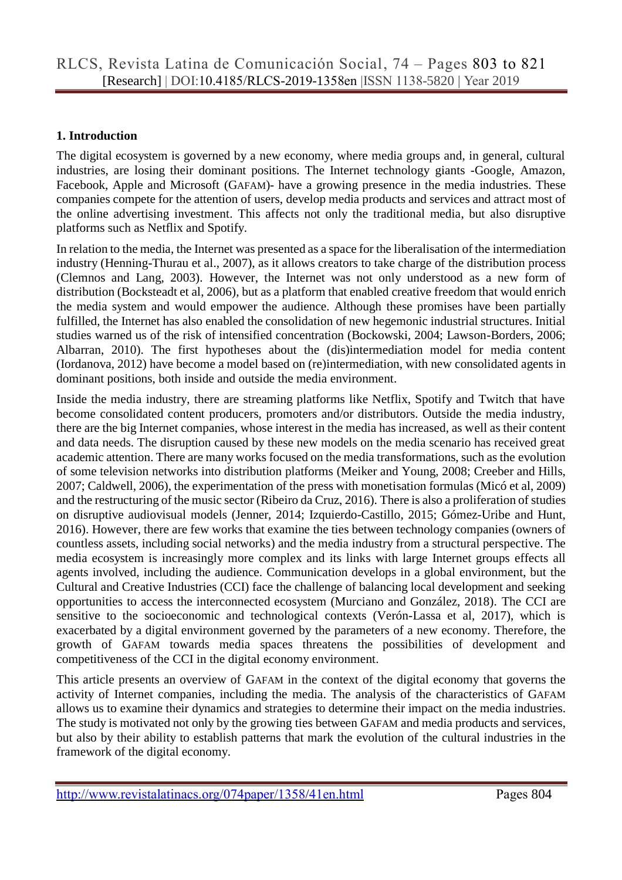#### **1. Introduction**

The digital ecosystem is governed by a new economy, where media groups and, in general, cultural industries, are losing their dominant positions. The Internet technology giants -Google, Amazon, Facebook, Apple and Microsoft (GAFAM)- have a growing presence in the media industries. These companies compete for the attention of users, develop media products and services and attract most of the online advertising investment. This affects not only the traditional media, but also disruptive platforms such as Netflix and Spotify.

In relation to the media, the Internet was presented as a space for the liberalisation of the intermediation industry (Henning-Thurau et al., 2007), as it allows creators to take charge of the distribution process (Clemnos and Lang, 2003). However, the Internet was not only understood as a new form of distribution (Bocksteadt et al, 2006), but as a platform that enabled creative freedom that would enrich the media system and would empower the audience. Although these promises have been partially fulfilled, the Internet has also enabled the consolidation of new hegemonic industrial structures. Initial studies warned us of the risk of intensified concentration (Bockowski, 2004; Lawson-Borders, 2006; Albarran, 2010). The first hypotheses about the (dis)intermediation model for media content (Iordanova, 2012) have become a model based on (re)intermediation, with new consolidated agents in dominant positions, both inside and outside the media environment.

Inside the media industry, there are streaming platforms like Netflix, Spotify and Twitch that have become consolidated content producers, promoters and/or distributors. Outside the media industry, there are the big Internet companies, whose interest in the media has increased, as well as their content and data needs. The disruption caused by these new models on the media scenario has received great academic attention. There are many works focused on the media transformations, such as the evolution of some television networks into distribution platforms (Meiker and Young, 2008; Creeber and Hills, 2007; Caldwell, 2006), the experimentation of the press with monetisation formulas (Micó et al, 2009) and the restructuring of the music sector (Ribeiro da Cruz, 2016). There is also a proliferation of studies on disruptive audiovisual models (Jenner, 2014; Izquierdo-Castillo, 2015; Gómez-Uribe and Hunt, 2016). However, there are few works that examine the ties between technology companies (owners of countless assets, including social networks) and the media industry from a structural perspective. The media ecosystem is increasingly more complex and its links with large Internet groups effects all agents involved, including the audience. Communication develops in a global environment, but the Cultural and Creative Industries (CCI) face the challenge of balancing local development and seeking opportunities to access the interconnected ecosystem (Murciano and González, 2018). The CCI are sensitive to the socioeconomic and technological contexts (Verón-Lassa et al, 2017), which is exacerbated by a digital environment governed by the parameters of a new economy. Therefore, the growth of GAFAM towards media spaces threatens the possibilities of development and competitiveness of the CCI in the digital economy environment.

This article presents an overview of GAFAM in the context of the digital economy that governs the activity of Internet companies, including the media. The analysis of the characteristics of GAFAM allows us to examine their dynamics and strategies to determine their impact on the media industries. The study is motivated not only by the growing ties between GAFAM and media products and services, but also by their ability to establish patterns that mark the evolution of the cultural industries in the framework of the digital economy.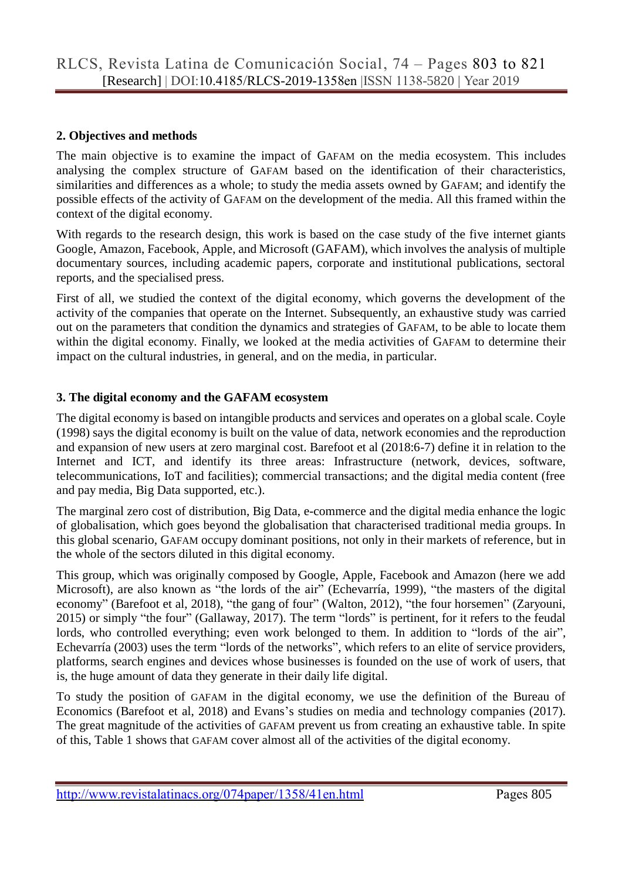#### **2. Objectives and methods**

The main objective is to examine the impact of GAFAM on the media ecosystem. This includes analysing the complex structure of GAFAM based on the identification of their characteristics, similarities and differences as a whole; to study the media assets owned by GAFAM; and identify the possible effects of the activity of GAFAM on the development of the media. All this framed within the context of the digital economy.

With regards to the research design, this work is based on the case study of the five internet giants Google, Amazon, Facebook, Apple, and Microsoft (GAFAM), which involves the analysis of multiple documentary sources, including academic papers, corporate and institutional publications, sectoral reports, and the specialised press.

First of all, we studied the context of the digital economy, which governs the development of the activity of the companies that operate on the Internet. Subsequently, an exhaustive study was carried out on the parameters that condition the dynamics and strategies of GAFAM, to be able to locate them within the digital economy. Finally, we looked at the media activities of GAFAM to determine their impact on the cultural industries, in general, and on the media, in particular.

#### **3. The digital economy and the GAFAM ecosystem**

The digital economy is based on intangible products and services and operates on a global scale. Coyle (1998) says the digital economy is built on the value of data, network economies and the reproduction and expansion of new users at zero marginal cost. Barefoot et al (2018:6-7) define it in relation to the Internet and ICT, and identify its three areas: Infrastructure (network, devices, software, telecommunications, IoT and facilities); commercial transactions; and the digital media content (free and pay media, Big Data supported, etc.).

The marginal zero cost of distribution, Big Data, e-commerce and the digital media enhance the logic of globalisation, which goes beyond the globalisation that characterised traditional media groups. In this global scenario, GAFAM occupy dominant positions, not only in their markets of reference, but in the whole of the sectors diluted in this digital economy.

This group, which was originally composed by Google, Apple, Facebook and Amazon (here we add Microsoft), are also known as "the lords of the air" (Echevarría, 1999), "the masters of the digital economy" (Barefoot et al, 2018), "the gang of four" (Walton, 2012), "the four horsemen" (Zaryouni, 2015) or simply "the four" (Gallaway, 2017). The term "lords" is pertinent, for it refers to the feudal lords, who controlled everything; even work belonged to them. In addition to "lords of the air", Echevarría (2003) uses the term "lords of the networks", which refers to an elite of service providers, platforms, search engines and devices whose businesses is founded on the use of work of users, that is, the huge amount of data they generate in their daily life digital.

To study the position of GAFAM in the digital economy, we use the definition of the Bureau of Economics (Barefoot et al, 2018) and Evans's studies on media and technology companies (2017). The great magnitude of the activities of GAFAM prevent us from creating an exhaustive table. In spite of this, Table 1 shows that GAFAM cover almost all of the activities of the digital economy.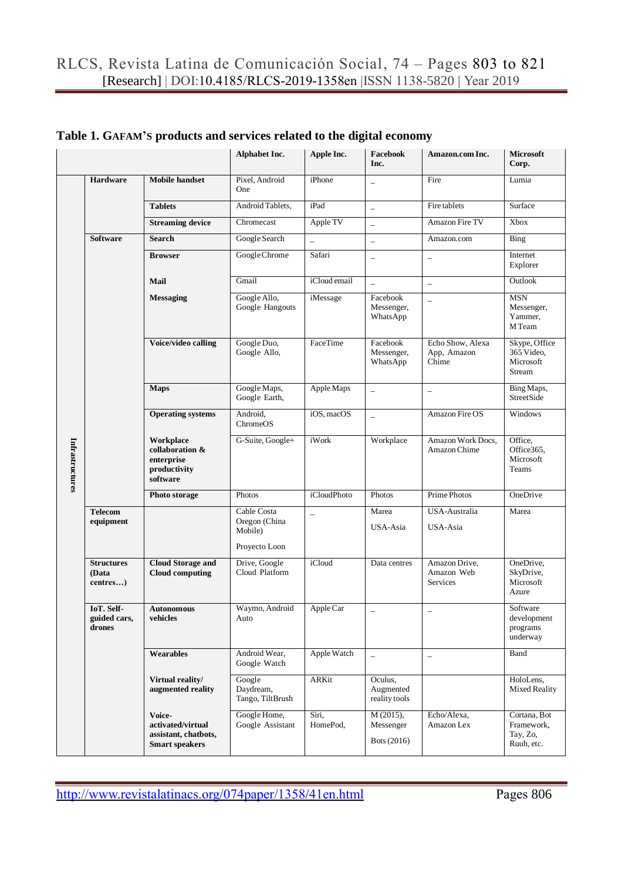|                 |                                        |                                                                              | Alphabet Inc.                           | Apple Inc.               | Facebook<br>Inc.                        | Amazon.com Inc.                          | <b>Microsoft</b><br>Corp.                            |
|-----------------|----------------------------------------|------------------------------------------------------------------------------|-----------------------------------------|--------------------------|-----------------------------------------|------------------------------------------|------------------------------------------------------|
|                 | Hardware                               | <b>Mobile handset</b>                                                        | Pixel. Android<br>One                   | iPhone                   | $\overline{\phantom{0}}$                | Fire                                     | Lumia                                                |
|                 |                                        | <b>Tablets</b>                                                               | Android Tablets,                        | iPad                     | $\overline{\phantom{0}}$                | Fire tablets                             | Surface                                              |
|                 |                                        | <b>Streaming device</b>                                                      | Chromecast                              | Apple TV                 | $\qquad \qquad -$                       | Amazon Fire TV                           | Xbox                                                 |
|                 | <b>Software</b>                        | <b>Search</b>                                                                | Google Search                           | $\overline{\phantom{0}}$ | $\qquad \qquad -$                       | Amazon.com                               | Bing                                                 |
|                 |                                        | <b>Browser</b>                                                               | Google Chrome                           | Safari                   | $\overline{\phantom{0}}$                | $\overline{\phantom{a}}$                 | Internet<br>Explorer                                 |
|                 |                                        | Mail                                                                         | Gmail                                   | iCloud email             | $\overline{\phantom{0}}$                | $\overline{a}$                           | Outlook                                              |
|                 |                                        | <b>Messaging</b>                                                             | Google Allo,<br>Google Hangouts         | iMessage                 | Facebook<br>Messenger,<br>WhatsApp      | $\overline{\phantom{a}}$                 | <b>MSN</b><br>Messenger,<br>Yammer,<br>M Team        |
|                 |                                        | Voice/video calling                                                          | Google Duo,<br>Google Allo,             | FaceTime                 | Facebook<br>Messenger,<br>WhatsApp      | Echo Show, Alexa<br>App, Amazon<br>Chime | Skype, Office<br>365 Video,<br>Microsoft<br>Stream   |
|                 |                                        | <b>Maps</b>                                                                  | Google Maps,<br>Google Earth,           | Apple Maps               | $\overline{\phantom{0}}$                | $\overline{\phantom{0}}$                 | Bing Maps,<br><b>StreetSide</b>                      |
|                 |                                        | <b>Operating systems</b>                                                     | Android,<br>ChromeOS                    | iOS. macOS               | $\overline{\phantom{0}}$                | Amazon Fire OS                           | Windows                                              |
| Infrastructures |                                        | Workplace<br>collaboration &<br>enterprise<br>productivity<br>software       | G-Suite, Google+                        | iWork                    | Workplace                               | Amazon Work Docs,<br>Amazon Chime        | Office,<br>Office365,<br>Microsoft<br>Teams          |
|                 |                                        | Photo storage                                                                | Photos                                  | <i>iCloudPhoto</i>       | Photos                                  | Prime Photos                             | OneDrive                                             |
|                 | <b>Telecom</b><br>equipment            |                                                                              | Cable Costa<br>Oregon (China            | $\overline{\phantom{0}}$ | Marea                                   | USA-Australia                            | Marea                                                |
|                 |                                        |                                                                              | Mobile)<br>Proyecto Loon                |                          | USA-Asia                                | USA-Asia                                 |                                                      |
|                 | <b>Structures</b><br>(Data<br>centres) | <b>Cloud Storage and</b><br><b>Cloud computing</b>                           | Drive, Google<br>Cloud Platform         | iCloud                   | Data centres                            | Amazon Drive,<br>Amazon Web<br>Services  | OneDrive,<br>SkyDrive,<br>Microsoft<br>Azure         |
|                 | IoT. Self-<br>guided cars,<br>drones   | <b>Autonomous</b><br>vehicles                                                | Waymo, Android<br>Auto                  | Apple Car                |                                         |                                          | Software<br>development<br>programs<br>underway      |
|                 |                                        | Wearables                                                                    | Android Wear,<br>Google Watch           | Apple Watch              | $\overline{\phantom{0}}$                | $\overline{\phantom{m}}$                 | Band                                                 |
|                 |                                        | Virtual reality/<br>augmented reality                                        | Google<br>Daydream,<br>Tango, TiltBrush | ARKit                    | Oculus,<br>Augmented<br>reality tools   |                                          | HoloLens,<br><b>Mixed Reality</b>                    |
|                 |                                        | Voice-<br>activated/virtual<br>assistant, chatbots,<br><b>Smart speakers</b> | Google Home,<br>Google Assistant        | Siri,<br>HomePod,        | $M(2015)$ ,<br>Messenger<br>Bots (2016) | Echo/Alexa,<br>Amazon Lex                | Cortana, Bot<br>Framework,<br>Tay, Zo,<br>Ruuh, etc. |

## **Table 1. GAFAM'S products and services related to the digital economy**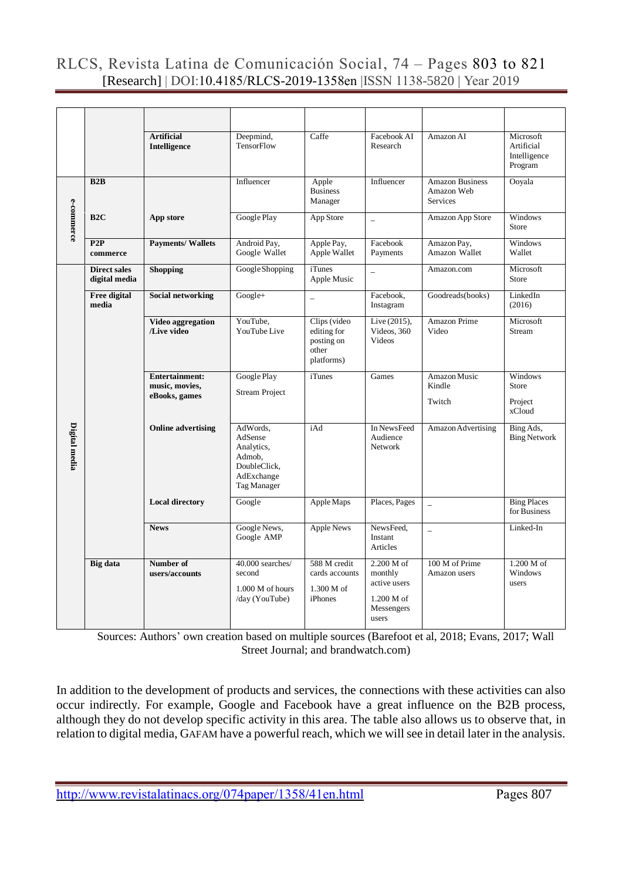|               |                                      | <b>Artificial</b><br>Intelligence                        | Deepmind,<br>TensorFlow                                                                  | Caffe                                                            | Facebook AI<br>Research                                                    | Amazon AI                                               | Microsoft<br>Artificial<br>Intelligence<br>Program |
|---------------|--------------------------------------|----------------------------------------------------------|------------------------------------------------------------------------------------------|------------------------------------------------------------------|----------------------------------------------------------------------------|---------------------------------------------------------|----------------------------------------------------|
|               | B2B                                  |                                                          | Influencer                                                                               | Apple<br><b>Business</b><br>Manager                              | Influencer                                                                 | <b>Amazon Business</b><br>Amazon Web<br><b>Services</b> | Ooyala                                             |
| e-commerce    | B <sub>2C</sub>                      | App store                                                | Google Play                                                                              | App Store                                                        | $\overline{a}$                                                             | Amazon App Store                                        | <b>Windows</b><br>Store                            |
|               | P2P<br>commerce                      | <b>Payments/Wallets</b>                                  | Android Pay,<br>Google Wallet                                                            | Apple Pay,<br>Apple Wallet                                       | Facebook<br>Payments                                                       | Amazon Pay,<br>Amazon Wallet                            | Windows<br>Wallet                                  |
|               | <b>Direct sales</b><br>digital media | <b>Shopping</b>                                          | Google Shopping                                                                          | <i>i</i> Tunes<br>Apple Music                                    | $\overline{a}$                                                             | Amazon.com                                              | Microsoft<br>Store                                 |
|               | <b>Free digital</b><br>media         | <b>Social networking</b>                                 | Google+                                                                                  | $\equiv$                                                         | Facebook,<br>Instagram                                                     | Goodreads(books)                                        | LinkedIn<br>(2016)                                 |
| Digital media |                                      | Video aggregation<br>/Live video                         | YouTube.<br>YouTube Live                                                                 | Clips (video<br>editing for<br>posting on<br>other<br>platforms) | Live (2015),<br>Videos, 360<br><b>Videos</b>                               | <b>Amazon Prime</b><br>Video                            | Microsoft<br>Stream                                |
|               |                                      | <b>Entertainment:</b><br>music, movies,<br>eBooks, games | Google Play<br><b>Stream Project</b>                                                     | <i>i</i> Tunes                                                   | Games                                                                      | Amazon Music<br>Kindle<br>Twitch                        | <b>Windows</b><br>Store<br>Project<br>xCloud       |
|               |                                      | <b>Online advertising</b>                                | AdWords.<br>AdSense<br>Analytics,<br>Admob.<br>DoubleClick,<br>AdExchange<br>Tag Manager | iAd                                                              | In NewsFeed<br>Audience<br>Network                                         | Amazon Advertising                                      | Bing Ads,<br><b>Bing Network</b>                   |
|               |                                      | <b>Local directory</b>                                   | Google                                                                                   | Apple Maps                                                       | Places, Pages                                                              |                                                         | <b>Bing Places</b><br>for Business                 |
|               |                                      | <b>News</b>                                              | Google News,<br>Google AMP                                                               | <b>Apple News</b>                                                | NewsFeed.<br>Instant<br>Articles                                           | $\equiv$                                                | Linked-In                                          |
|               | <b>Big</b> data                      | Number of<br>users/accounts                              | 40.000 searches/<br>second<br>1.000 M of hours<br>/day (YouTube)                         | 588 M credit<br>cards accounts<br>1.300 M of<br><i>iPhones</i>   | 2.200 M of<br>monthly<br>active users<br>1.200 M of<br>Messengers<br>users | 100 M of Prime<br>Amazon users                          | 1.200 M of<br>Windows<br>users                     |

Sources: Authors' own creation based on multiple sources (Barefoot et al, 2018; Evans, 2017; Wall Street Journal; and brandwatch.com)

In addition to the development of products and services, the connections with these activities can also occur indirectly. For example, Google and Facebook have a great influence on the B2B process, although they do not develop specific activity in this area. The table also allows us to observe that, in relation to digital media, GAFAM have a powerful reach, which we will see in detail later in the analysis.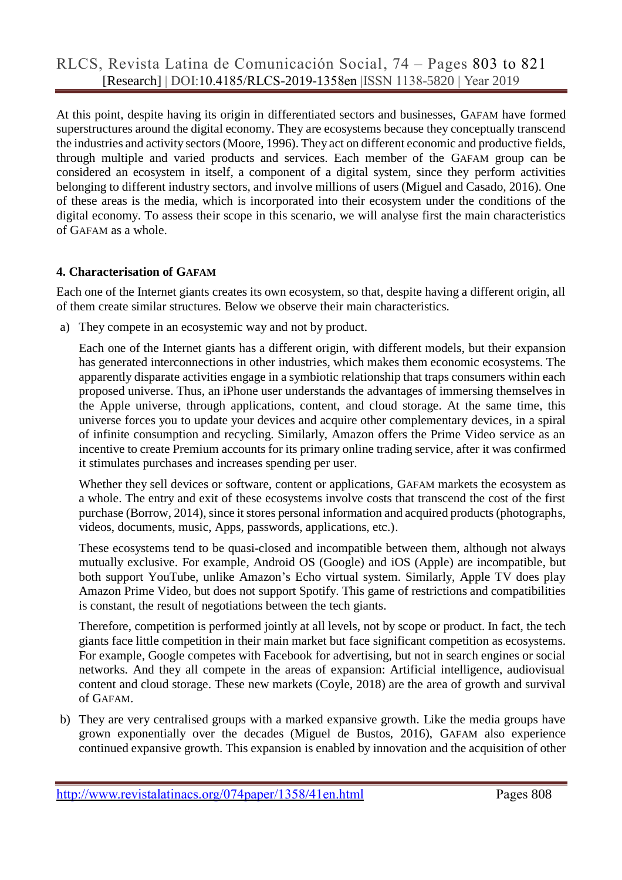At this point, despite having its origin in differentiated sectors and businesses, GAFAM have formed superstructures around the digital economy. They are ecosystems because they conceptually transcend the industries and activity sectors (Moore, 1996). They act on different economic and productive fields, through multiple and varied products and services. Each member of the GAFAM group can be considered an ecosystem in itself, a component of a digital system, since they perform activities belonging to different industry sectors, and involve millions of users (Miguel and Casado, 2016). One of these areas is the media, which is incorporated into their ecosystem under the conditions of the digital economy. To assess their scope in this scenario, we will analyse first the main characteristics of GAFAM as a whole.

#### **4. Characterisation of GAFAM**

Each one of the Internet giants creates its own ecosystem, so that, despite having a different origin, all of them create similar structures. Below we observe their main characteristics.

a) They compete in an ecosystemic way and not by product.

Each one of the Internet giants has a different origin, with different models, but their expansion has generated interconnections in other industries, which makes them economic ecosystems. The apparently disparate activities engage in a symbiotic relationship that traps consumers within each proposed universe. Thus, an iPhone user understands the advantages of immersing themselves in the Apple universe, through applications, content, and cloud storage. At the same time, this universe forces you to update your devices and acquire other complementary devices, in a spiral of infinite consumption and recycling. Similarly, Amazon offers the Prime Video service as an incentive to create Premium accounts for its primary online trading service, after it was confirmed it stimulates purchases and increases spending per user.

Whether they sell devices or software, content or applications, GAFAM markets the ecosystem as a whole. The entry and exit of these ecosystems involve costs that transcend the cost of the first purchase (Borrow, 2014), since it stores personal information and acquired products (photographs, videos, documents, music, Apps, passwords, applications, etc.).

These ecosystems tend to be quasi-closed and incompatible between them, although not always mutually exclusive. For example, Android OS (Google) and iOS (Apple) are incompatible, but both support YouTube, unlike Amazon's Echo virtual system. Similarly, Apple TV does play Amazon Prime Video, but does not support Spotify. This game of restrictions and compatibilities is constant, the result of negotiations between the tech giants.

Therefore, competition is performed jointly at all levels, not by scope or product. In fact, the tech giants face little competition in their main market but face significant competition as ecosystems. For example, Google competes with Facebook for advertising, but not in search engines or social networks. And they all compete in the areas of expansion: Artificial intelligence, audiovisual content and cloud storage. These new markets (Coyle, 2018) are the area of growth and survival of GAFAM.

b) They are very centralised groups with a marked expansive growth. Like the media groups have grown exponentially over the decades (Miguel de Bustos, 2016), GAFAM also experience continued expansive growth. This expansion is enabled by innovation and the acquisition of other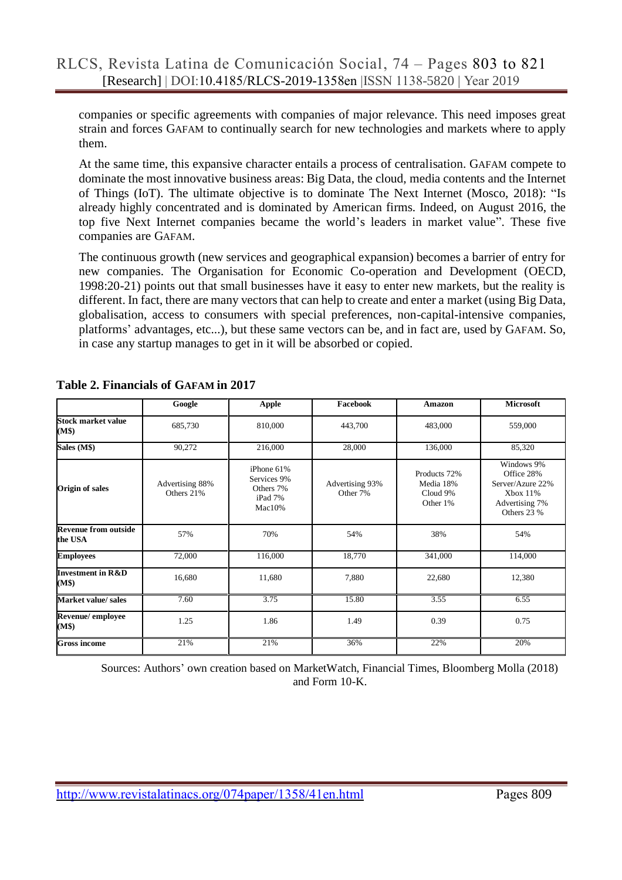companies or specific agreements with companies of major relevance. This need imposes great strain and forces GAFAM to continually search for new technologies and markets where to apply them.

At the same time, this expansive character entails a process of centralisation. GAFAM compete to dominate the most innovative business areas: Big Data, the cloud, media contents and the Internet of Things (IoT). The ultimate objective is to dominate The Next Internet (Mosco, 2018): "Is already highly concentrated and is dominated by American firms. Indeed, on August 2016, the top five Next Internet companies became the world's leaders in market value". These five companies are GAFAM.

The continuous growth (new services and geographical expansion) becomes a barrier of entry for new companies. The Organisation for Economic Co-operation and Development (OECD, 1998:20-21) points out that small businesses have it easy to enter new markets, but the reality is different. In fact, there are many vectors that can help to create and enter a market (using Big Data, globalisation, access to consumers with special preferences, non-capital-intensive companies, platforms' advantages, etc...), but these same vectors can be, and in fact are, used by GAFAM. So, in case any startup manages to get in it will be absorbed or copied.

|                                        | Google                        | <b>Apple</b>                                                | Facebook                    | <b>Amazon</b>                                     | <b>Microsoft</b>                                                                          |
|----------------------------------------|-------------------------------|-------------------------------------------------------------|-----------------------------|---------------------------------------------------|-------------------------------------------------------------------------------------------|
| <b>Stock market value</b><br>(M\$)     | 685,730                       | 810,000                                                     | 443,700                     | 483,000                                           | 559,000                                                                                   |
| Sales (M\$)                            | 90,272                        | 216,000                                                     | 28,000                      | 136,000                                           | 85,320                                                                                    |
| <b>Origin of sales</b>                 | Advertising 88%<br>Others 21% | iPhone 61%<br>Services 9%<br>Others 7%<br>iPad 7%<br>Mac10% | Advertising 93%<br>Other 7% | Products 72%<br>Media 18%<br>Cloud 9%<br>Other 1% | Windows 9%<br>Office 28%<br>Server/Azure 22%<br>Xbox 11%<br>Advertising 7%<br>Others 23 % |
| <b>Revenue from outside</b><br>the USA | 57%                           | 70%                                                         | 54%                         | 38%                                               | 54%                                                                                       |
| <b>Employees</b>                       | 72,000                        | 116,000                                                     | 18,770                      | 341,000                                           | 114,000                                                                                   |
| <b>Investment in R&amp;D</b><br>(M\$)  | 16,680                        | 11,680                                                      | 7,880                       | 22,680                                            | 12,380                                                                                    |
| Market value/ sales                    | 7.60                          | 3.75                                                        | 15.80                       | 3.55                                              | 6.55                                                                                      |
| Revenue/employee<br>(M\$)              | 1.25                          | 1.86                                                        | 1.49                        | 0.39                                              | 0.75                                                                                      |
| <b>Gross income</b>                    | 21%                           | 21%                                                         | 36%                         | 22%                                               | 20%                                                                                       |

**Table 2. Financials of GAFAM in 2017**

Sources: Authors' own creation based on MarketWatch, Financial Times, Bloomberg Molla (2018) and Form 10-K.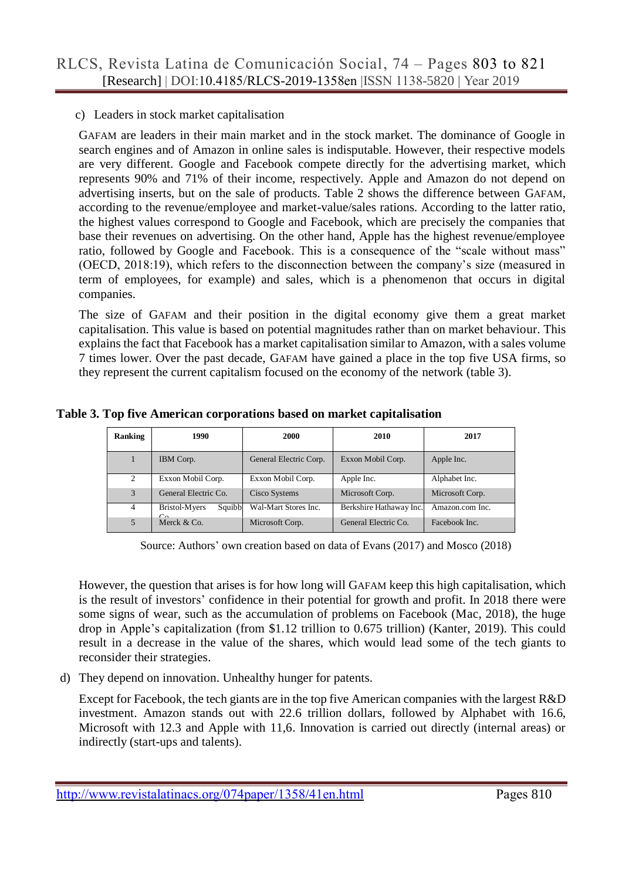#### c) Leaders in stock market capitalisation

GAFAM are leaders in their main market and in the stock market. The dominance of Google in search engines and of Amazon in online sales is indisputable. However, their respective models are very different. Google and Facebook compete directly for the advertising market, which represents 90% and 71% of their income, respectively. Apple and Amazon do not depend on advertising inserts, but on the sale of products. Table 2 shows the difference between GAFAM, according to the revenue/employee and market-value/sales rations. According to the latter ratio, the highest values correspond to Google and Facebook, which are precisely the companies that base their revenues on advertising. On the other hand, Apple has the highest revenue/employee ratio, followed by Google and Facebook. This is a consequence of the "scale without mass" (OECD, 2018:19), which refers to the disconnection between the company's size (measured in term of employees, for example) and sales, which is a phenomenon that occurs in digital companies.

The size of GAFAM and their position in the digital economy give them a great market capitalisation. This value is based on potential magnitudes rather than on market behaviour. This explains the fact that Facebook has a market capitalisation similar to Amazon, with a sales volume 7 times lower. Over the past decade, GAFAM have gained a place in the top five USA firms, so they represent the current capitalism focused on the economy of the network (table 3).

| Ranking        | 1990                    | 2000                   | 2010                    | 2017            |  |
|----------------|-------------------------|------------------------|-------------------------|-----------------|--|
|                | IBM Corp.               | General Electric Corp. | Exxon Mobil Corp.       | Apple Inc.      |  |
| 2              | Exxon Mobil Corp.       | Exxon Mobil Corp.      | Apple Inc.              | Alphabet Inc.   |  |
| 3              | General Electric Co.    | Cisco Systems          | Microsoft Corp.         | Microsoft Corp. |  |
| $\overline{4}$ | Bristol-Myers<br>Squibb | Wal-Mart Stores Inc.   | Berkshire Hathaway Inc. | Amazon.com Inc. |  |
|                | Merck $& Co.$           | Microsoft Corp.        | General Electric Co.    | Facebook Inc.   |  |

**Table 3. Top five American corporations based on market capitalisation**

Source: Authors' own creation based on data of Evans (2017) and Mosco (2018)

However, the question that arises is for how long will GAFAM keep this high capitalisation, which is the result of investors' confidence in their potential for growth and profit. In 2018 there were some signs of wear, such as the accumulation of problems on Facebook (Mac, 2018), the huge drop in Apple's capitalization (from \$1.12 trillion to 0.675 trillion) (Kanter, 2019). This could result in a decrease in the value of the shares, which would lead some of the tech giants to reconsider their strategies.

d) They depend on innovation. Unhealthy hunger for patents.

Except for Facebook, the tech giants are in the top five American companies with the largest R&D investment. Amazon stands out with 22.6 trillion dollars, followed by Alphabet with 16.6, Microsoft with 12.3 and Apple with 11,6. Innovation is carried out directly (internal areas) or indirectly (start-ups and talents).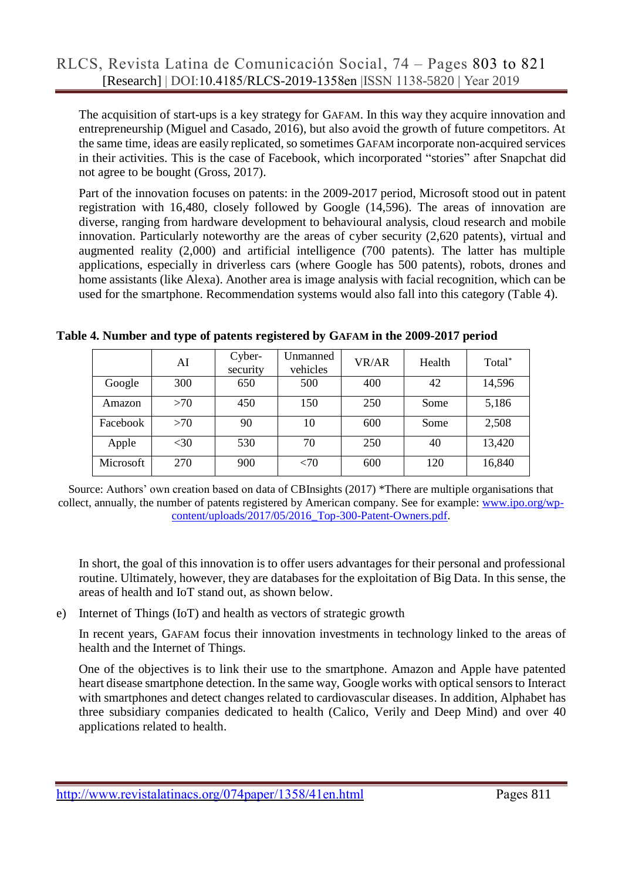The acquisition of start-ups is a key strategy for GAFAM. In this way they acquire innovation and entrepreneurship (Miguel and Casado, 2016), but also avoid the growth of future competitors. At the same time, ideas are easily replicated, so sometimes GAFAM incorporate non-acquired services in their activities. This is the case of Facebook, which incorporated "stories" after Snapchat did not agree to be bought (Gross, 2017).

Part of the innovation focuses on patents: in the 2009-2017 period, Microsoft stood out in patent registration with 16,480, closely followed by Google (14,596). The areas of innovation are diverse, ranging from hardware development to behavioural analysis, cloud research and mobile innovation. Particularly noteworthy are the areas of cyber security (2,620 patents), virtual and augmented reality (2,000) and artificial intelligence (700 patents). The latter has multiple applications, especially in driverless cars (where Google has 500 patents), robots, drones and home assistants (like Alexa). Another area is image analysis with facial recognition, which can be used for the smartphone. Recommendation systems would also fall into this category (Table 4).

**Table 4. Number and type of patents registered by GAFAM in the 2009-2017 period**

|           | AI     | Cyber-<br>security | Unmanned<br>vehicles | VR/AR | Health | Total <sup>*</sup> |
|-----------|--------|--------------------|----------------------|-------|--------|--------------------|
| Google    | 300    | 650                | 500                  | 400   | 42     | 14,596             |
| Amazon    | >70    | 450                | 150                  | 250   | Some   | 5,186              |
| Facebook  | >70    | 90                 | 10                   | 600   | Some   | 2,508              |
| Apple     | $<$ 30 | 530                | 70                   | 250   | 40     | 13,420             |
| Microsoft | 270    | 900                | $<$ 70               | 600   | 120    | 16,840             |

Source: Authors' own creation based on data of CBInsights (2017) \*There are multiple organisations that collect, annually, the number of patents registered by American company. See for example: [www.ipo.org/wp](http://www.ipo.org/wp-content/uploads/2017/05/2016_Top-300-Patent-Owners.pdf)[content/uploads/2017/05/2016\\_Top-300-Patent-Owners.pdf.](http://www.ipo.org/wp-content/uploads/2017/05/2016_Top-300-Patent-Owners.pdf)

In short, the goal of this innovation is to offer users advantages for their personal and professional routine. Ultimately, however, they are databases for the exploitation of Big Data. In this sense, the areas of health and IoT stand out, as shown below.

e) Internet of Things (IoT) and health as vectors of strategic growth

In recent years, GAFAM focus their innovation investments in technology linked to the areas of health and the Internet of Things.

One of the objectives is to link their use to the smartphone. Amazon and Apple have patented heart disease smartphone detection. In the same way, Google works with optical sensors to Interact with smartphones and detect changes related to cardiovascular diseases. In addition, Alphabet has three subsidiary companies dedicated to health (Calico, Verily and Deep Mind) and over 40 applications related to health.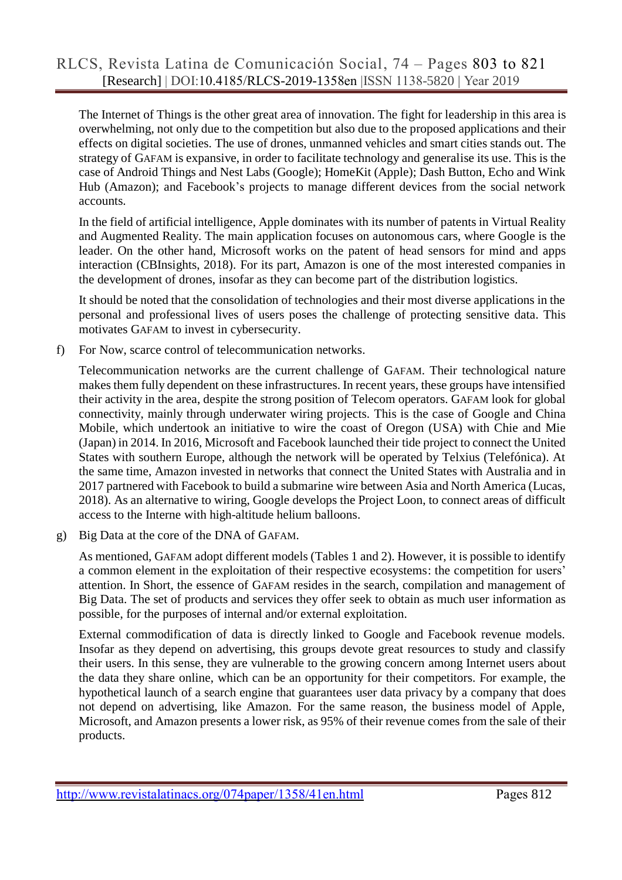The Internet of Things is the other great area of innovation. The fight for leadership in this area is overwhelming, not only due to the competition but also due to the proposed applications and their effects on digital societies. The use of drones, unmanned vehicles and smart cities stands out. The strategy of GAFAM is expansive, in order to facilitate technology and generalise its use. This is the case of Android Things and Nest Labs (Google); HomeKit (Apple); Dash Button, Echo and Wink Hub (Amazon); and Facebook's projects to manage different devices from the social network accounts.

In the field of artificial intelligence, Apple dominates with its number of patents in Virtual Reality and Augmented Reality. The main application focuses on autonomous cars, where Google is the leader. On the other hand, Microsoft works on the patent of head sensors for mind and apps interaction (CBInsights, 2018). For its part, Amazon is one of the most interested companies in the development of drones, insofar as they can become part of the distribution logistics.

It should be noted that the consolidation of technologies and their most diverse applications in the personal and professional lives of users poses the challenge of protecting sensitive data. This motivates GAFAM to invest in cybersecurity.

f) For Now, scarce control of telecommunication networks.

Telecommunication networks are the current challenge of GAFAM. Their technological nature makes them fully dependent on these infrastructures. In recent years, these groups have intensified their activity in the area, despite the strong position of Telecom operators. GAFAM look for global connectivity, mainly through underwater wiring projects. This is the case of Google and China Mobile, which undertook an initiative to wire the coast of Oregon (USA) with Chie and Mie (Japan) in 2014. In 2016, Microsoft and Facebook launched their tide project to connect the United States with southern Europe, although the network will be operated by Telxius (Telefónica). At the same time, Amazon invested in networks that connect the United States with Australia and in 2017 partnered with Facebook to build a submarine wire between Asia and North America (Lucas, 2018). As an alternative to wiring, Google develops the Project Loon, to connect areas of difficult access to the Interne with high-altitude helium balloons.

g) Big Data at the core of the DNA of GAFAM.

As mentioned, GAFAM adopt different models (Tables 1 and 2). However, it is possible to identify a common element in the exploitation of their respective ecosystems: the competition for users' attention. In Short, the essence of GAFAM resides in the search, compilation and management of Big Data. The set of products and services they offer seek to obtain as much user information as possible, for the purposes of internal and/or external exploitation.

External commodification of data is directly linked to Google and Facebook revenue models. Insofar as they depend on advertising, this groups devote great resources to study and classify their users. In this sense, they are vulnerable to the growing concern among Internet users about the data they share online, which can be an opportunity for their competitors. For example, the hypothetical launch of a search engine that guarantees user data privacy by a company that does not depend on advertising, like Amazon. For the same reason, the business model of Apple, Microsoft, and Amazon presents a lower risk, as 95% of their revenue comes from the sale of their products.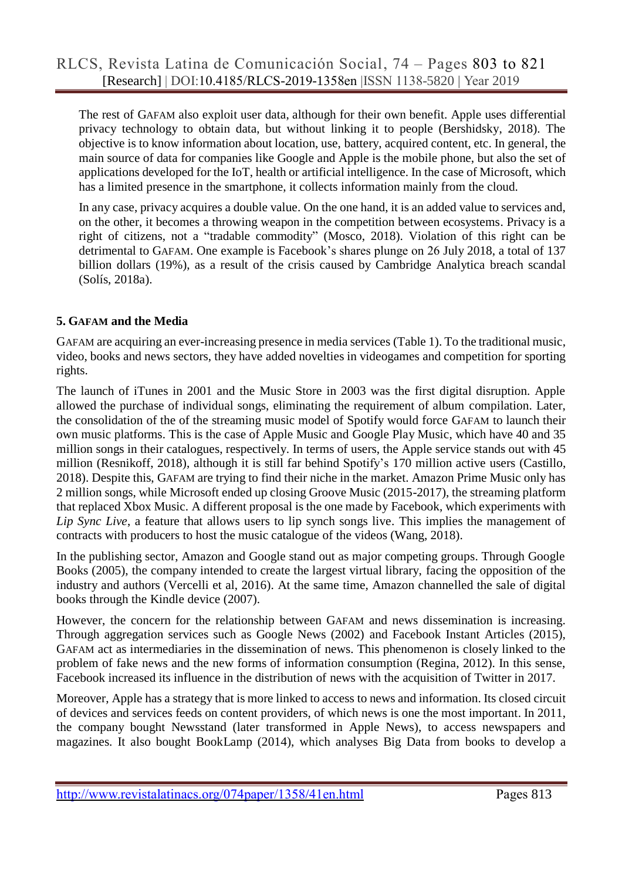The rest of GAFAM also exploit user data, although for their own benefit. Apple uses differential privacy technology to obtain data, but without linking it to people (Bershidsky, 2018). The objective is to know information about location, use, battery, acquired content, etc. In general, the main source of data for companies like Google and Apple is the mobile phone, but also the set of applications developed for the IoT, health or artificial intelligence. In the case of Microsoft, which has a limited presence in the smartphone, it collects information mainly from the cloud.

In any case, privacy acquires a double value. On the one hand, it is an added value to services and, on the other, it becomes a throwing weapon in the competition between ecosystems. Privacy is a right of citizens, not a "tradable commodity" (Mosco, 2018). Violation of this right can be detrimental to GAFAM. One example is Facebook's shares plunge on 26 July 2018, a total of 137 billion dollars (19%), as a result of the crisis caused by Cambridge Analytica breach scandal (Solís, 2018a).

### **5. GAFAM and the Media**

GAFAM are acquiring an ever-increasing presence in media services (Table 1). To the traditional music, video, books and news sectors, they have added novelties in videogames and competition for sporting rights.

The launch of iTunes in 2001 and the Music Store in 2003 was the first digital disruption. Apple allowed the purchase of individual songs, eliminating the requirement of album compilation. Later, the consolidation of the of the streaming music model of Spotify would force GAFAM to launch their own music platforms. This is the case of Apple Music and Google Play Music, which have 40 and 35 million songs in their catalogues, respectively. In terms of users, the Apple service stands out with 45 million (Resnikoff, 2018), although it is still far behind Spotify's 170 million active users (Castillo, 2018). Despite this, GAFAM are trying to find their niche in the market. Amazon Prime Music only has 2 million songs, while Microsoft ended up closing Groove Music (2015-2017), the streaming platform that replaced Xbox Music. A different proposal is the one made by Facebook, which experiments with *Lip Sync Live*, a feature that allows users to lip synch songs live. This implies the management of contracts with producers to host the music catalogue of the videos (Wang, 2018).

In the publishing sector, Amazon and Google stand out as major competing groups. Through Google Books (2005), the company intended to create the largest virtual library, facing the opposition of the industry and authors (Vercelli et al, 2016). At the same time, Amazon channelled the sale of digital books through the Kindle device (2007).

However, the concern for the relationship between GAFAM and news dissemination is increasing. Through aggregation services such as Google News (2002) and Facebook Instant Articles (2015), GAFAM act as intermediaries in the dissemination of news. This phenomenon is closely linked to the problem of fake news and the new forms of information consumption (Regina, 2012). In this sense, Facebook increased its influence in the distribution of news with the acquisition of Twitter in 2017.

Moreover, Apple has a strategy that is more linked to access to news and information. Its closed circuit of devices and services feeds on content providers, of which news is one the most important. In 2011, the company bought Newsstand (later transformed in Apple News), to access newspapers and magazines. It also bought BookLamp (2014), which analyses Big Data from books to develop a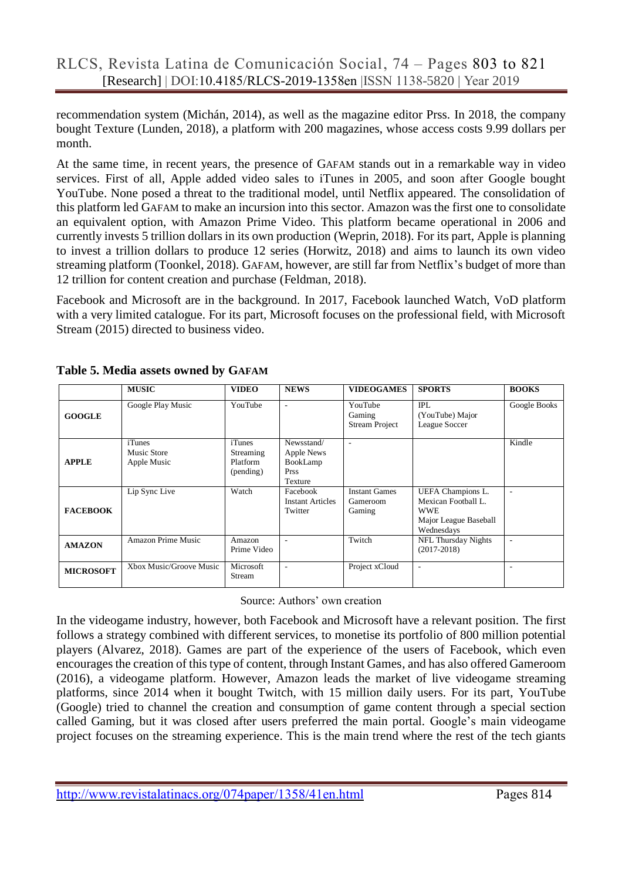recommendation system (Michán, 2014), as well as the magazine editor Prss. In 2018, the company bought Texture (Lunden, 2018), a platform with 200 magazines, whose access costs 9.99 dollars per month.

At the same time, in recent years, the presence of GAFAM stands out in a remarkable way in video services. First of all, Apple added video sales to iTunes in 2005, and soon after Google bought YouTube. None posed a threat to the traditional model, until Netflix appeared. The consolidation of this platform led GAFAM to make an incursion into this sector. Amazon was the first one to consolidate an equivalent option, with Amazon Prime Video. This platform became operational in 2006 and currently invests 5 trillion dollars in its own production (Weprin, 2018). For its part, Apple is planning to invest a trillion dollars to produce 12 series (Horwitz, 2018) and aims to launch its own video streaming platform (Toonkel, 2018). GAFAM, however, are still far from Netflix's budget of more than 12 trillion for content creation and purchase (Feldman, 2018).

Facebook and Microsoft are in the background. In 2017, Facebook launched Watch, VoD platform with a very limited catalogue. For its part, Microsoft focuses on the professional field, with Microsoft Stream (2015) directed to business video.

|                  | <b>MUSIC</b>                         | <b>VIDEO</b>                                 | <b>NEWS</b>                                             | <b>VIDEOGAMES</b>                          | <b>SPORTS</b>                                                                                 | <b>BOOKS</b> |
|------------------|--------------------------------------|----------------------------------------------|---------------------------------------------------------|--------------------------------------------|-----------------------------------------------------------------------------------------------|--------------|
| <b>GOOGLE</b>    | Google Play Music                    | YouTube                                      | ۰.                                                      | YouTube<br>Gaming<br><b>Stream Project</b> | <b>IPL</b><br>(YouTube) Major<br>League Soccer                                                | Google Books |
| <b>APPLE</b>     | iTunes<br>Music Store<br>Apple Music | iTunes<br>Streaming<br>Platform<br>(pending) | Newsstand/<br>Apple News<br>BookLamp<br>Prss<br>Texture | ٠                                          |                                                                                               | Kindle       |
| <b>FACEBOOK</b>  | Lip Sync Live                        | Watch                                        | Facebook<br><b>Instant Articles</b><br>Twitter          | <b>Instant Games</b><br>Gameroom<br>Gaming | UEFA Champions L.<br>Mexican Football L.<br><b>WWE</b><br>Major League Baseball<br>Wednesdays | ٠            |
| <b>AMAZON</b>    | <b>Amazon Prime Music</b>            | Amazon<br>Prime Video                        | ۰.                                                      | Twitch                                     | NFL Thursday Nights<br>$(2017-2018)$                                                          | ٠            |
| <b>MICROSOFT</b> | Xbox Music/Groove Music              | Microsoft<br>Stream                          | $\overline{\phantom{a}}$                                | Project xCloud                             | $\overline{\phantom{a}}$                                                                      |              |

**Table 5. Media assets owned by GAFAM**

Source: Authors' own creation

In the videogame industry, however, both Facebook and Microsoft have a relevant position. The first follows a strategy combined with different services, to monetise its portfolio of 800 million potential players (Alvarez, 2018). Games are part of the experience of the users of Facebook, which even encourages the creation of this type of content, through Instant Games, and has also offered Gameroom (2016), a videogame platform. However, Amazon leads the market of live videogame streaming platforms, since 2014 when it bought Twitch, with 15 million daily users. For its part, YouTube (Google) tried to channel the creation and consumption of game content through a special section called Gaming, but it was closed after users preferred the main portal. Google's main videogame project focuses on the streaming experience. This is the main trend where the rest of the tech giants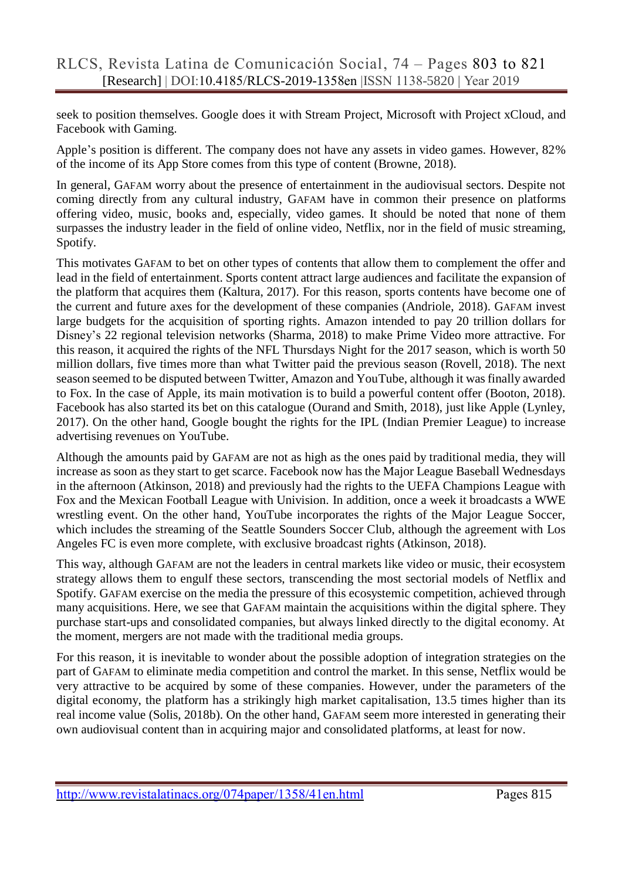seek to position themselves. Google does it with Stream Project, Microsoft with Project xCloud, and Facebook with Gaming.

Apple's position is different. The company does not have any assets in video games. However, 82% of the income of its App Store comes from this type of content (Browne, 2018).

In general, GAFAM worry about the presence of entertainment in the audiovisual sectors. Despite not coming directly from any cultural industry, GAFAM have in common their presence on platforms offering video, music, books and, especially, video games. It should be noted that none of them surpasses the industry leader in the field of online video, Netflix, nor in the field of music streaming, Spotify.

This motivates GAFAM to bet on other types of contents that allow them to complement the offer and lead in the field of entertainment. Sports content attract large audiences and facilitate the expansion of the platform that acquires them (Kaltura, 2017). For this reason, sports contents have become one of the current and future axes for the development of these companies (Andriole, 2018). GAFAM invest large budgets for the acquisition of sporting rights. Amazon intended to pay 20 trillion dollars for Disney's 22 regional television networks (Sharma, 2018) to make Prime Video more attractive. For this reason, it acquired the rights of the NFL Thursdays Night for the 2017 season, which is worth 50 million dollars, five times more than what Twitter paid the previous season (Rovell, 2018). The next season seemed to be disputed between Twitter, Amazon and YouTube, although it was finally awarded to Fox. In the case of Apple, its main motivation is to build a powerful content offer (Booton, 2018). Facebook has also started its bet on this catalogue (Ourand and Smith, 2018), just like Apple (Lynley, 2017). On the other hand, Google bought the rights for the IPL (Indian Premier League) to increase advertising revenues on YouTube.

Although the amounts paid by GAFAM are not as high as the ones paid by traditional media, they will increase as soon as they start to get scarce. Facebook now has the Major League Baseball Wednesdays in the afternoon (Atkinson, 2018) and previously had the rights to the UEFA Champions League with Fox and the Mexican Football League with Univision. In addition, once a week it broadcasts a WWE wrestling event. On the other hand, YouTube incorporates the rights of the Major League Soccer, which includes the streaming of the Seattle Sounders Soccer Club, although the agreement with Los Angeles FC is even more complete, with exclusive broadcast rights (Atkinson, 2018).

This way, although GAFAM are not the leaders in central markets like video or music, their ecosystem strategy allows them to engulf these sectors, transcending the most sectorial models of Netflix and Spotify. GAFAM exercise on the media the pressure of this ecosystemic competition, achieved through many acquisitions. Here, we see that GAFAM maintain the acquisitions within the digital sphere. They purchase start-ups and consolidated companies, but always linked directly to the digital economy. At the moment, mergers are not made with the traditional media groups.

For this reason, it is inevitable to wonder about the possible adoption of integration strategies on the part of GAFAM to eliminate media competition and control the market. In this sense, Netflix would be very attractive to be acquired by some of these companies. However, under the parameters of the digital economy, the platform has a strikingly high market capitalisation, 13.5 times higher than its real income value (Solis, 2018b). On the other hand, GAFAM seem more interested in generating their own audiovisual content than in acquiring major and consolidated platforms, at least for now.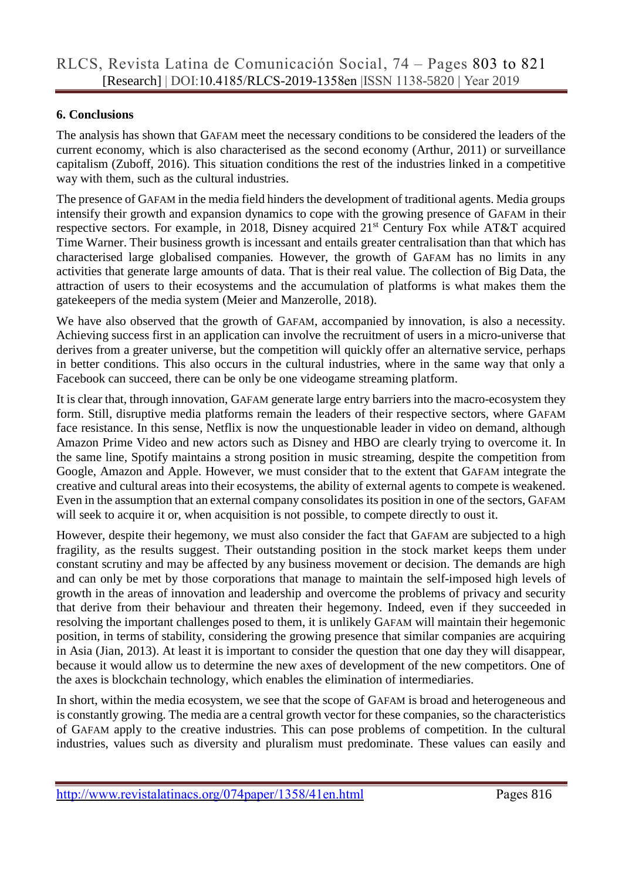#### **6. Conclusions**

The analysis has shown that GAFAM meet the necessary conditions to be considered the leaders of the current economy, which is also characterised as the second economy (Arthur, 2011) or surveillance capitalism (Zuboff, 2016). This situation conditions the rest of the industries linked in a competitive way with them, such as the cultural industries.

The presence of GAFAM in the media field hinders the development of traditional agents. Media groups intensify their growth and expansion dynamics to cope with the growing presence of GAFAM in their respective sectors. For example, in 2018, Disney acquired 21<sup>st</sup> Century Fox while AT&T acquired Time Warner. Their business growth is incessant and entails greater centralisation than that which has characterised large globalised companies. However, the growth of GAFAM has no limits in any activities that generate large amounts of data. That is their real value. The collection of Big Data, the attraction of users to their ecosystems and the accumulation of platforms is what makes them the gatekeepers of the media system (Meier and Manzerolle, 2018).

We have also observed that the growth of GAFAM, accompanied by innovation, is also a necessity. Achieving success first in an application can involve the recruitment of users in a micro-universe that derives from a greater universe, but the competition will quickly offer an alternative service, perhaps in better conditions. This also occurs in the cultural industries, where in the same way that only a Facebook can succeed, there can be only be one videogame streaming platform.

It is clear that, through innovation, GAFAM generate large entry barriers into the macro-ecosystem they form. Still, disruptive media platforms remain the leaders of their respective sectors, where GAFAM face resistance. In this sense, Netflix is now the unquestionable leader in video on demand, although Amazon Prime Video and new actors such as Disney and HBO are clearly trying to overcome it. In the same line, Spotify maintains a strong position in music streaming, despite the competition from Google, Amazon and Apple. However, we must consider that to the extent that GAFAM integrate the creative and cultural areas into their ecosystems, the ability of external agents to compete is weakened. Even in the assumption that an external company consolidates its position in one of the sectors, GAFAM will seek to acquire it or, when acquisition is not possible, to compete directly to oust it.

However, despite their hegemony, we must also consider the fact that GAFAM are subjected to a high fragility, as the results suggest. Their outstanding position in the stock market keeps them under constant scrutiny and may be affected by any business movement or decision. The demands are high and can only be met by those corporations that manage to maintain the self-imposed high levels of growth in the areas of innovation and leadership and overcome the problems of privacy and security that derive from their behaviour and threaten their hegemony. Indeed, even if they succeeded in resolving the important challenges posed to them, it is unlikely GAFAM will maintain their hegemonic position, in terms of stability, considering the growing presence that similar companies are acquiring in Asia (Jian, 2013). At least it is important to consider the question that one day they will disappear, because it would allow us to determine the new axes of development of the new competitors. One of the axes is blockchain technology, which enables the elimination of intermediaries.

In short, within the media ecosystem, we see that the scope of GAFAM is broad and heterogeneous and is constantly growing. The media are a central growth vector for these companies, so the characteristics of GAFAM apply to the creative industries. This can pose problems of competition. In the cultural industries, values such as diversity and pluralism must predominate. These values can easily and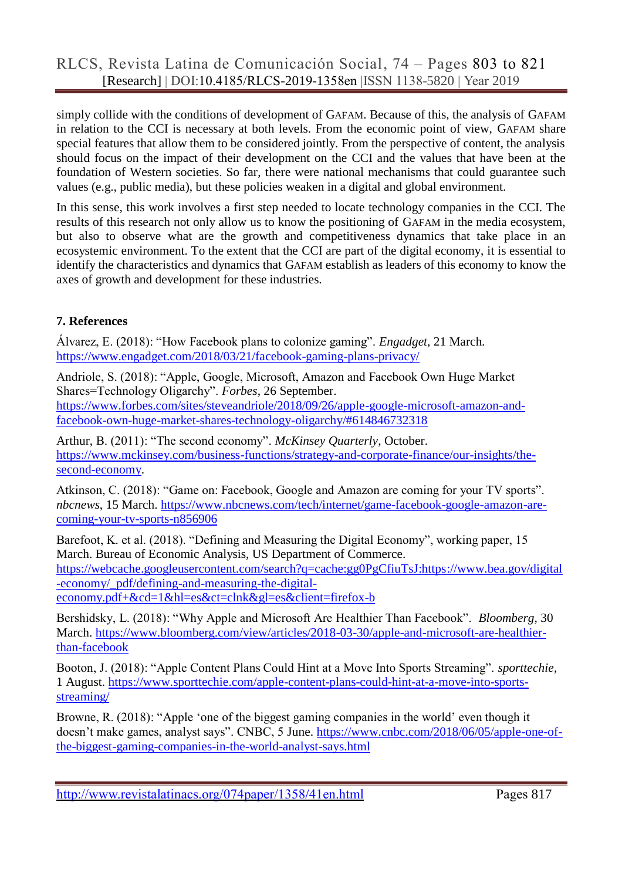simply collide with the conditions of development of GAFAM. Because of this, the analysis of GAFAM in relation to the CCI is necessary at both levels. From the economic point of view, GAFAM share special features that allow them to be considered jointly. From the perspective of content, the analysis should focus on the impact of their development on the CCI and the values that have been at the foundation of Western societies. So far, there were national mechanisms that could guarantee such values (e.g., public media), but these policies weaken in a digital and global environment.

In this sense, this work involves a first step needed to locate technology companies in the CCI. The results of this research not only allow us to know the positioning of GAFAM in the media ecosystem, but also to observe what are the growth and competitiveness dynamics that take place in an ecosystemic environment. To the extent that the CCI are part of the digital economy, it is essential to identify the characteristics and dynamics that GAFAM establish as leaders of this economy to know the axes of growth and development for these industries.

## **7. References**

Álvarez, E. (2018): "How Facebook plans to colonize gaming". *Engadget*, 21 March. <https://www.engadget.com/2018/03/21/facebook-gaming-plans-privacy/>

Andriole, S. (2018): "Apple, Google, Microsoft, Amazon and Facebook Own Huge Market Shares=Technology Oligarchy". *Forbes*, 26 September. [https://www.forbes.com/sites/steveandriole/2018/09/26/apple-google-microsoft-amazon-and](https://www.forbes.com/sites/steveandriole/2018/09/26/apple-google-microsoft-amazon-and-facebook-own-huge-market-shares-technology-oligarchy/#614846732318)[facebook-own-huge-market-shares-technology-oligarchy/#614846732318](https://www.forbes.com/sites/steveandriole/2018/09/26/apple-google-microsoft-amazon-and-facebook-own-huge-market-shares-technology-oligarchy/#614846732318)

Arthur, B. (2011): "The second economy". *McKinsey Quarterly*, October. [https://www.mckinsey.com/business-functions/strategy-and-corporate-finance/our-insights/the](https://www.mckinsey.com/business-functions/strategy-and-corporate-finance/our-insights/the-second-economy)[second-economy.](https://www.mckinsey.com/business-functions/strategy-and-corporate-finance/our-insights/the-second-economy)

Atkinson, C. (2018): "Game on: Facebook, Google and Amazon are coming for your TV sports". *nbcnews*, 15 March. [https://www.nbcnews.com/tech/internet/game-facebook-google-amazon-are](https://www.nbcnews.com/tech/internet/game-facebook-google-amazon-are-coming-your-tv-sports-n856906)[coming-your-tv-sports-n856906](https://www.nbcnews.com/tech/internet/game-facebook-google-amazon-are-coming-your-tv-sports-n856906)

Barefoot, K. et al. (2018). "Defining and Measuring the Digital Economy", working paper, 15 March. Bureau of Economic Analysis, US Department of Commerce. [https://webcache.googleusercontent.com/search?q=cache:gg0PgCfiuTsJ:https://www.bea.gov/digital](https://webcache.googleusercontent.com/search?q=cache:gg0PgCfiuTsJ:https://www.bea.gov/digital-economy/_pdf/defining-and-measuring-the-digital-economy.pdf+&cd=1&hl=es&ct=clnk&gl=es&client=firefox-b) [-economy/\\_pdf/defining-and-measuring-the-digital](https://webcache.googleusercontent.com/search?q=cache:gg0PgCfiuTsJ:https://www.bea.gov/digital-economy/_pdf/defining-and-measuring-the-digital-economy.pdf+&cd=1&hl=es&ct=clnk&gl=es&client=firefox-b)[economy.pdf+&cd=1&hl=es&ct=clnk&gl=es&client=firefox-b](https://webcache.googleusercontent.com/search?q=cache:gg0PgCfiuTsJ:https://www.bea.gov/digital-economy/_pdf/defining-and-measuring-the-digital-economy.pdf+&cd=1&hl=es&ct=clnk&gl=es&client=firefox-b)

Bershidsky, L. (2018): "Why Apple and Microsoft Are Healthier Than Facebook". *Bloomberg*, 30 March. [https://www.bloomberg.com/view/articles/2018-03-30/apple-and-microsoft-are-healthier](https://www.bloomberg.com/view/articles/2018-03-30/apple-and-microsoft-are-healthier-than-facebook)[than-facebook](https://www.bloomberg.com/view/articles/2018-03-30/apple-and-microsoft-are-healthier-than-facebook)

Booton, J. (2018): "Apple Content Plans Could Hint at a Move Into Sports Streaming". *sporttechie*, 1 August. [https://www.sporttechie.com/apple-content-plans-could-hint-at-a-move-into-sports](https://www.sporttechie.com/apple-content-plans-could-hint-at-a-move-into-sports-streaming/)[streaming/](https://www.sporttechie.com/apple-content-plans-could-hint-at-a-move-into-sports-streaming/)

Browne, R. (2018): "Apple 'one of the biggest gaming companies in the world' even though it doesn't make games, analyst says". CNBC, 5 June. [https://www.cnbc.com/2018/06/05/apple-one-of](https://www.cnbc.com/2018/06/05/apple-one-of-the-biggest-gaming-companies-in-the-world-analyst-says.html)[the-biggest-gaming-companies-in-the-world-analyst-says.html](https://www.cnbc.com/2018/06/05/apple-one-of-the-biggest-gaming-companies-in-the-world-analyst-says.html)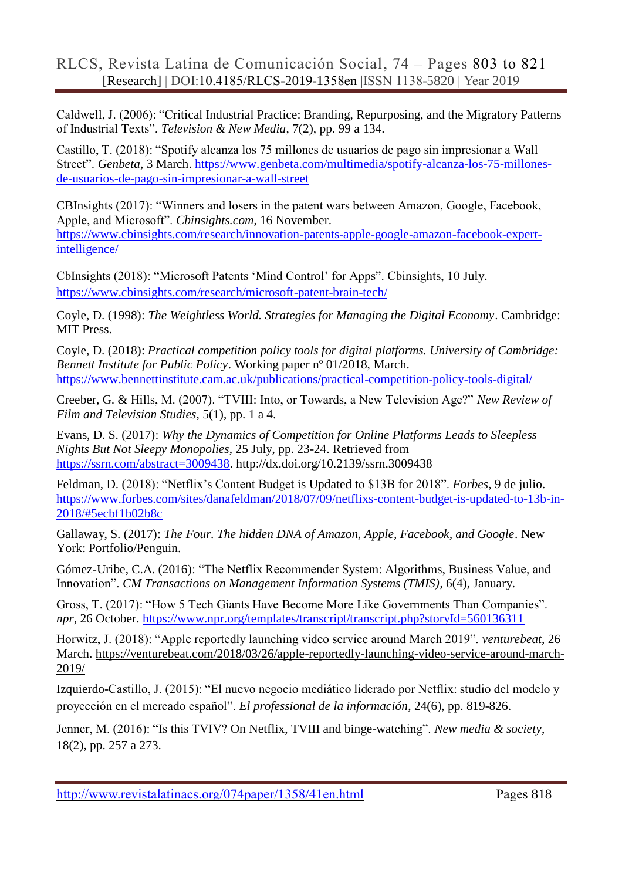Caldwell, J. (2006): "Critical Industrial Practice: Branding, Repurposing, and the Migratory Patterns of Industrial Texts". *Television & New Media*, 7(2), pp. 99 a 134.

Castillo, T. (2018): "Spotify alcanza los 75 millones de usuarios de pago sin impresionar a Wall Street". *Genbeta*, 3 March. [https://www.genbeta.com/multimedia/spotify-alcanza-los-75-millones](https://www.genbeta.com/multimedia/spotify-alcanza-los-75-millones-de-usuarios-de-pago-sin-impresionar-a-wall-street)[de-usuarios-de-pago-sin-impresionar-a-wall-street](https://www.genbeta.com/multimedia/spotify-alcanza-los-75-millones-de-usuarios-de-pago-sin-impresionar-a-wall-street)

CBInsights (2017): "Winners and losers in the patent wars between Amazon, Google, Facebook, Apple, and Microsoft". *Cbinsights.com*, 16 November. [https://www.cbinsights.com/research/innovation-patents-apple-google-amazon-facebook-expert](https://www.cbinsights.com/research/innovation-patents-apple-google-amazon-facebook-expert-intelligence/)[intelligence/](https://www.cbinsights.com/research/innovation-patents-apple-google-amazon-facebook-expert-intelligence/)

CbInsights (2018): "Microsoft Patents 'Mind Control' for Apps". Cbinsights, 10 July. <https://www.cbinsights.com/research/microsoft-patent-brain-tech/>

Coyle, D. (1998): *The Weightless World. Strategies for Managing the Digital Economy*. Cambridge: MIT Press.

Coyle, D. (2018): *Practical competition policy tools for digital platforms. University of Cambridge: Bennett Institute for Public Policy*. Working paper nº 01/2018, March. <https://www.bennettinstitute.cam.ac.uk/publications/practical-competition-policy-tools-digital/>

Creeber, G. & Hills, M. (2007). "TVIII: Into, or Towards, a New Television Age?" *New Review of Film and Television Studies*, 5(1), pp. 1 a 4.

Evans, D. S. (2017): *Why the Dynamics of Competition for Online Platforms Leads to Sleepless Nights But Not Sleepy Monopolies*, 25 July, pp. 23-24. Retrieved from [https://ssrn.com/abstract=3009438.](https://ssrn.com/abstract=3009438) http://dx.doi.org/10.2139/ssrn.3009438

Feldman, D. (2018): "Netflix's Content Budget is Updated to \$13B for 2018". *Forbes*, 9 de julio. [https://www.forbes.com/sites/danafeldman/2018/07/09/netflixs-content-budget-is-updated-to-13b-in-](https://www.forbes.com/sites/danafeldman/2018/07/09/netflixs-content-budget-is-updated-to-13b-in-2018/#5ecbf1b02b8c)[2018/#5ecbf1b02b8c](https://www.forbes.com/sites/danafeldman/2018/07/09/netflixs-content-budget-is-updated-to-13b-in-2018/#5ecbf1b02b8c)

Gallaway, S. (2017): *The Four. The hidden DNA of Amazon, Apple, Facebook, and Google*. New York: Portfolio/Penguin.

Gómez-Uribe, C.A. (2016): "The Netflix Recommender System: Algorithms, Business Value, and Innovation". *CM Transactions on Management Information Systems (TMIS)*, 6(4), January.

Gross, T. (2017): "How 5 Tech Giants Have Become More Like Governments Than Companies". *npr*, 26 October.<https://www.npr.org/templates/transcript/transcript.php?storyId=560136311>

Horwitz, J. (2018): "Apple reportedly launching video service around March 2019". *venturebeat*, 26 March. [https://venturebeat.com/2018/03/26/apple-reportedly-launching-video-service-around-march-](https://venturebeat.com/2018/03/26/apple-reportedly-launching-video-service-around-march-2019/)[2019/](https://venturebeat.com/2018/03/26/apple-reportedly-launching-video-service-around-march-2019/)

Izquierdo-Castillo, J. (2015): "El nuevo negocio mediático liderado por Netflix: studio del modelo y proyección en el mercado español". *El professional de la información*, 24(6), pp. 819-826.

Jenner, M. (2016): "Is this TVIV? On Netflix, TVIII and binge-watching". *New media & society*, 18(2), pp. 257 a 273.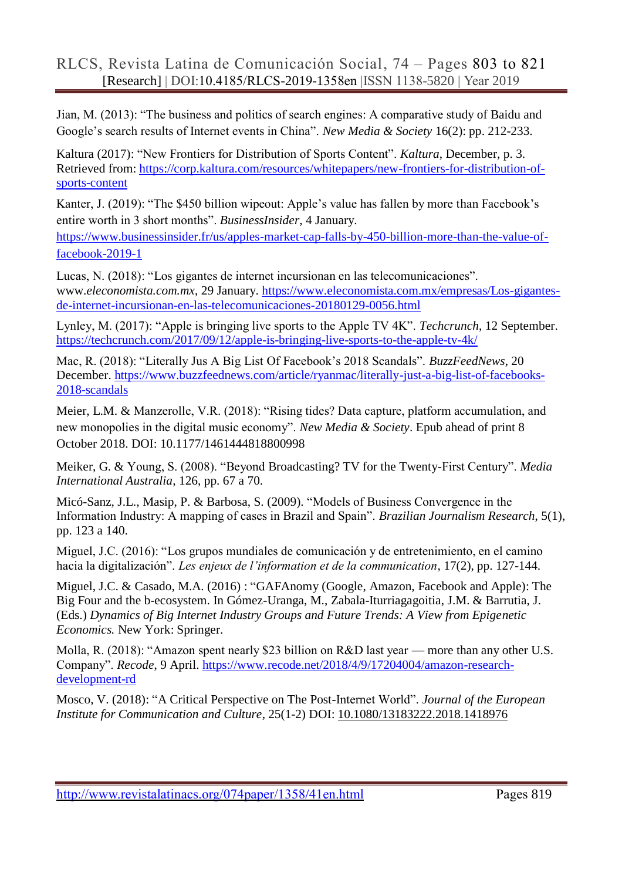Jian, M. (2013): "The business and politics of search engines: A comparative study of Baidu and Google's search results of Internet events in China". *New Media & Society* 16(2): pp. 212-233.

Kaltura (2017): "New Frontiers for Distribution of Sports Content". *Kaltura*, December, p. 3. Retrieved from: [https://corp.kaltura.com/resources/whitepapers/new-frontiers-for-distribution-of](https://corp.kaltura.com/resources/whitepapers/new-frontiers-for-distribution-of-sports-content)[sports-content](https://corp.kaltura.com/resources/whitepapers/new-frontiers-for-distribution-of-sports-content)

Kanter, J. (2019): "The \$450 billion wipeout: Apple's value has fallen by more than Facebook's entire worth in 3 short months". *BusinessInsider*, 4 January.

[https://www.businessinsider.fr/us/apples-market-cap-falls-by-450-billion-more-than-the-value-of](https://www.businessinsider.fr/us/apples-market-cap-falls-by-450-billion-more-than-the-value-of-facebook-2019-1)[facebook-2019-1](https://www.businessinsider.fr/us/apples-market-cap-falls-by-450-billion-more-than-the-value-of-facebook-2019-1)

Lucas, N. (2018): "Los gigantes de internet incursionan en las telecomunicaciones". www.*eleconomista.com.mx*, 29 January. [https://www.eleconomista.com.mx/empresas/Los-gigantes](https://www.eleconomista.com.mx/empresas/Los-gigantes-de-internet-incursionan-en-las-telecomunicaciones-20180129-0056.html)[de-internet-incursionan-en-las-telecomunicaciones-20180129-0056.html](https://www.eleconomista.com.mx/empresas/Los-gigantes-de-internet-incursionan-en-las-telecomunicaciones-20180129-0056.html)

Lynley, M. (2017): "Apple is bringing live sports to the Apple TV 4K". *Techcrunch*, 12 September. <https://techcrunch.com/2017/09/12/apple-is-bringing-live-sports-to-the-apple-tv-4k/>

Mac, R. (2018): "Literally Jus A Big List Of Facebook's 2018 Scandals". *BuzzFeedNews*, 20 December. [https://www.buzzfeednews.com/article/ryanmac/literally-just-a-big-list-of-facebooks-](https://www.buzzfeednews.com/article/ryanmac/literally-just-a-big-list-of-facebooks-2018-scandals)[2018-scandals](https://www.buzzfeednews.com/article/ryanmac/literally-just-a-big-list-of-facebooks-2018-scandals)

Meier, L.M. & Manzerolle, V.R. (2018): "Rising tides? Data capture, platform accumulation, and new monopolies in the digital music economy". *New Media & Society*. Epub ahead of print 8 October 2018. DOI: 10.1177/1461444818800998

Meiker, G. & Young, S. (2008). "Beyond Broadcasting? TV for the Twenty-First Century". *Media International Australia*, 126, pp. 67 a 70.

Micó-Sanz, J.L., Masip, P. & Barbosa, S. (2009). "Models of Business Convergence in the Information Industry: A mapping of cases in Brazil and Spain". *Brazilian Journalism Research*, 5(1), pp. 123 a 140.

Miguel, J.C. (2016): "Los grupos mundiales de comunicación y de entretenimiento, en el camino hacia la digitalización". *Les enjeux de l'information et de la communication*, 17(2), pp. 127-144.

Miguel, J.C. & Casado, M.A. (2016) : "GAFAnomy (Google, Amazon, Facebook and Apple): The Big Four and the b-ecosystem. In Gómez-Uranga, M., Zabala-Iturriagagoitia, J.M. & Barrutia, J. (Eds.) *Dynamics of Big Internet Industry Groups and Future Trends: A View from Epigenetic Economics.* New York: Springer.

Molla, R. (2018): "Amazon spent nearly \$23 billion on R&D last year — more than any other U.S. Company". *Recode*, 9 April. [https://www.recode.net/2018/4/9/17204004/amazon-research](https://www.recode.net/2018/4/9/17204004/amazon-research-development-rd)[development-rd](https://www.recode.net/2018/4/9/17204004/amazon-research-development-rd)

Mosco, V. (2018): "A Critical Perspective on The Post-Internet World". *Journal of the European Institute for Communication and Culture*, 25(1-2) DOI: [10.1080/13183222.2018.1418976](https://doi.org/10.1080/13183222.2018.1418976)

<http://www.revistalatinacs.org/074paper/1358/41en.html>Pages 819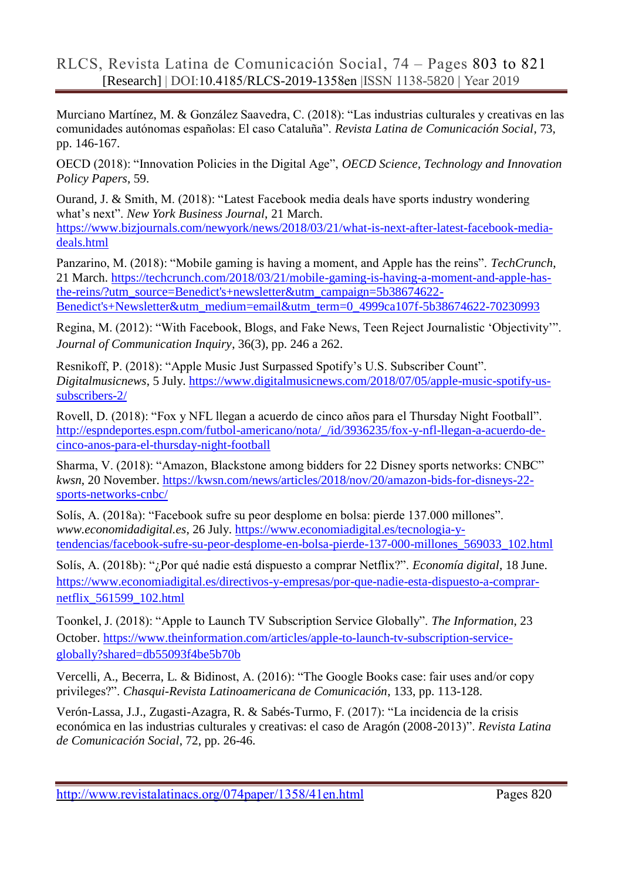Murciano Martínez, M. & González Saavedra, C. (2018): "Las industrias culturales y creativas en las comunidades autónomas españolas: El caso Cataluña". *Revista Latina de Comunicación Social*, 73, pp. 146-167.

OECD (2018): "Innovation Policies in the Digital Age", *OECD Science, Technology and Innovation Policy Papers*, 59.

Ourand, J. & Smith, M. (2018): "Latest Facebook media deals have sports industry wondering what's next". *New York Business Journal*, 21 March. [https://www.bizjournals.com/newyork/news/2018/03/21/what-is-next-after-latest-facebook-media](https://www.bizjournals.com/newyork/news/2018/03/21/what-is-next-after-latest-facebook-media-deals.html)[deals.html](https://www.bizjournals.com/newyork/news/2018/03/21/what-is-next-after-latest-facebook-media-deals.html)

Panzarino, M. (2018): "Mobile gaming is having a moment, and Apple has the reins". *TechCrunch*, 21 March. [https://techcrunch.com/2018/03/21/mobile-gaming-is-having-a-moment-and-apple-has](https://techcrunch.com/2018/03/21/mobile-gaming-is-having-a-moment-and-apple-has-the-reins/?utm_source=Benedict)[the-reins/?utm\\_source=Benedict's+newsletter&utm\\_campaign=5b38674622-](https://techcrunch.com/2018/03/21/mobile-gaming-is-having-a-moment-and-apple-has-the-reins/?utm_source=Benedict) [Benedict's+Newsletter&utm\\_medium=email&utm\\_term=0\\_4999ca107f-5b38674622-70230993](https://techcrunch.com/2018/03/21/mobile-gaming-is-having-a-moment-and-apple-has-the-reins/?utm_source=Benedict)

Regina, M. (2012): "With Facebook, Blogs, and Fake News, Teen Reject Journalistic 'Objectivity'". *Journal of Communication Inquiry*, 36(3), pp. 246 a 262.

Resnikoff, P. (2018): "Apple Music Just Surpassed Spotify's U.S. Subscriber Count". *Digitalmusicnews*, 5 July. [https://www.digitalmusicnews.com/2018/07/05/apple-music-spotify-us](https://www.digitalmusicnews.com/2018/07/05/apple-music-spotify-us-subscribers-2/)[subscribers-2/](https://www.digitalmusicnews.com/2018/07/05/apple-music-spotify-us-subscribers-2/)

Rovell, D. (2018): "Fox y NFL llegan a acuerdo de cinco años para el Thursday Night Football". [http://espndeportes.espn.com/futbol-americano/nota/\\_/id/3936235/fox-y-nfl-llegan-a-acuerdo-de](http://espndeportes.espn.com/futbol-americano/nota/_/id/3936235/fox-y-nfl-llegan-a-acuerdo-de-cinco-anos-para-el-thursday-night-football)[cinco-anos-para-el-thursday-night-football](http://espndeportes.espn.com/futbol-americano/nota/_/id/3936235/fox-y-nfl-llegan-a-acuerdo-de-cinco-anos-para-el-thursday-night-football)

Sharma, V. (2018): "Amazon, Blackstone among bidders for 22 Disney sports networks: CNBC" *kwsn*, 20 November. [https://kwsn.com/news/articles/2018/nov/20/amazon-bids-for-disneys-22](https://kwsn.com/news/articles/2018/nov/20/amazon-bids-for-disneys-22-sports-networks-cnbc/) [sports-networks-cnbc/](https://kwsn.com/news/articles/2018/nov/20/amazon-bids-for-disneys-22-sports-networks-cnbc/)

Solís, A. (2018a): "Facebook sufre su peor desplome en bolsa: pierde 137.000 millones". *www.economidadigital.es*, 26 July. [https://www.economiadigital.es/tecnologia-y](https://www.economiadigital.es/tecnologia-y-tendencias/facebook-sufre-su-peor-desplome-en-bolsa-pierde-137-000-millones_569033_102.html)[tendencias/facebook-sufre-su-peor-desplome-en-bolsa-pierde-137-000-millones\\_569033\\_102.html](https://www.economiadigital.es/tecnologia-y-tendencias/facebook-sufre-su-peor-desplome-en-bolsa-pierde-137-000-millones_569033_102.html)

Solís, A. (2018b): "¿Por qué nadie está dispuesto a comprar Netflix?". *Economía digital*, 18 June. [https://www.economiadigital.es/directivos-y-empresas/por-que-nadie-esta-dispuesto-a-comprar](https://www.economiadigital.es/directivos-y-empresas/por-que-nadie-esta-dispuesto-a-comprar-netflix_561599_102.html)[netflix\\_561599\\_102.html](https://www.economiadigital.es/directivos-y-empresas/por-que-nadie-esta-dispuesto-a-comprar-netflix_561599_102.html)

Toonkel, J. (2018): "Apple to Launch TV Subscription Service Globally". *The Information*, 23 October. [https://www.theinformation.com/articles/apple-to-launch-tv-subscription-service](https://www.theinformation.com/articles/apple-to-launch-tv-subscription-service-globally?shared=db55093f4be5b70b)[globally?shared=db55093f4be5b70b](https://www.theinformation.com/articles/apple-to-launch-tv-subscription-service-globally?shared=db55093f4be5b70b)

Vercelli, A., Becerra, L. & Bidinost, A. (2016): "The Google Books case: fair uses and/or copy privileges?". *Chasqui-Revista Latinoamericana de Comunicación*, 133, pp. 113-128.

Verón-Lassa, J.J., Zugasti-Azagra, R. & Sabés-Turmo, F. (2017): "La incidencia de la crisis económica en las industrias culturales y creativas: el caso de Aragón (2008-2013)". *Revista Latina de Comunicación Social*, 72, pp. 26-46.